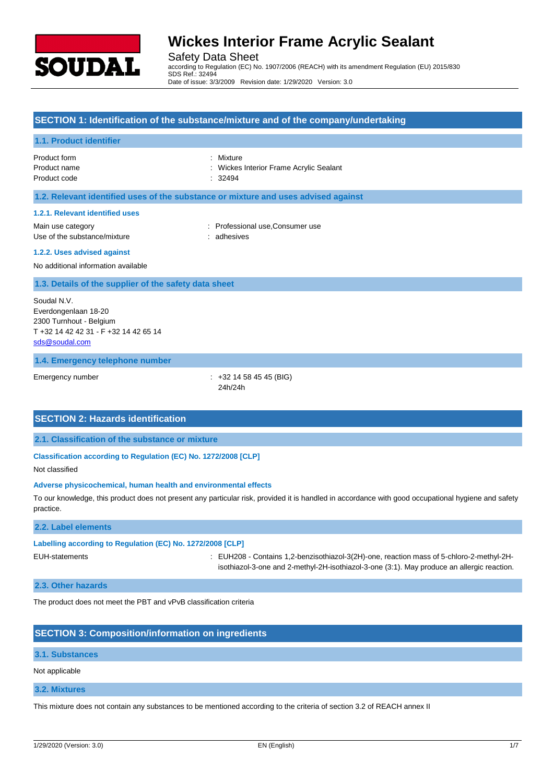

Safety Data Sheet

according to Regulation (EC) No. 1907/2006 (REACH) with its amendment Regulation (EU) 2015/830 SDS Ref.: 32494 Date of issue: 3/3/2009 Revision date: 1/29/2020 Version: 3.0

## **SECTION 1: Identification of the substance/mixture and of the company/undertaking**

### **1.1. Product identifier**

Product form **: Mixture** Product code : 32494

Product name **1988** Contract 2008 : Wickes Interior Frame Acrylic Sealant

#### **1.2. Relevant identified uses of the substance or mixture and uses advised against**

#### **1.2.1. Relevant identified uses**

Main use category **Main use category : Professional use, Consumer use** Use of the substance/mixture : adhesives : adhesives

#### **1.2.2. Uses advised against**

No additional information available

### **1.3. Details of the supplier of the safety data sheet**

Soudal N.V. Everdongenlaan 18-20 2300 Turnhout - Belgium T +32 14 42 42 31 - F +32 14 42 65 14 [sds@soudal.com](mailto:sds@soudal.com)

### **1.4. Emergency telephone number**

Emergency number : +32 14 58 45 45 (BIG) 24h/24h

## **SECTION 2: Hazards identification**

**2.1. Classification of the substance or mixture**

**Classification according to Regulation (EC) No. 1272/2008 [CLP]**

Not classified

#### **Adverse physicochemical, human health and environmental effects**

To our knowledge, this product does not present any particular risk, provided it is handled in accordance with good occupational hygiene and safety practice.

## **2.2. Label elements**

## **Labelling according to Regulation (EC) No. 1272/2008 [CLP]**

EUH-statements : EUH208 - Contains 1,2-benzisothiazol-3(2H)-one, reaction mass of 5-chloro-2-methyl-2Hisothiazol-3-one and 2-methyl-2H-isothiazol-3-one (3:1). May produce an allergic reaction.

#### **2.3. Other hazards**

The product does not meet the PBT and vPvB classification criteria

## **SECTION 3: Composition/information on ingredients**

#### **3.1. Substances**

#### Not applicable

## **3.2. Mixtures**

This mixture does not contain any substances to be mentioned according to the criteria of section 3.2 of REACH annex II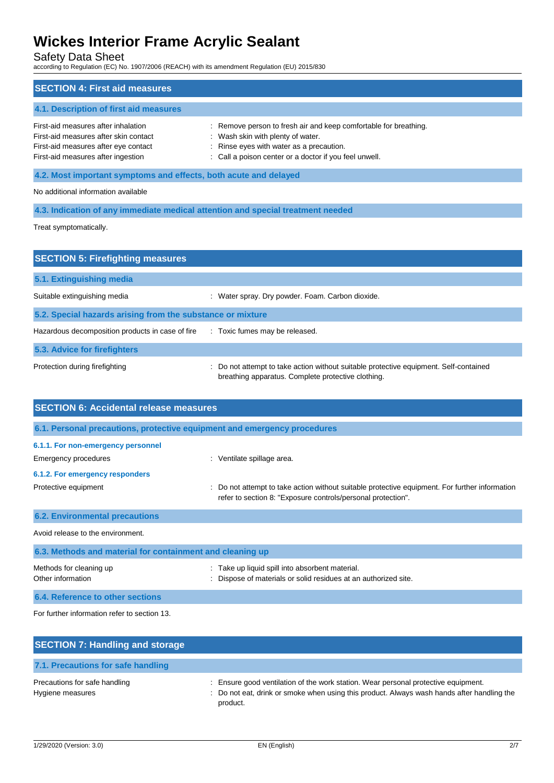Safety Data Sheet

according to Regulation (EC) No. 1907/2006 (REACH) with its amendment Regulation (EU) 2015/830

| <b>SECTION 4: First aid measures</b>                                                                                                                       |                                                                                                                                                                                                             |  |  |
|------------------------------------------------------------------------------------------------------------------------------------------------------------|-------------------------------------------------------------------------------------------------------------------------------------------------------------------------------------------------------------|--|--|
| 4.1. Description of first aid measures                                                                                                                     |                                                                                                                                                                                                             |  |  |
| First-aid measures after inhalation<br>First-aid measures after skin contact<br>First-aid measures after eye contact<br>First-aid measures after ingestion | : Remove person to fresh air and keep comfortable for breathing.<br>: Wash skin with plenty of water.<br>: Rinse eyes with water as a precaution.<br>: Call a poison center or a doctor if you feel unwell. |  |  |
| 4.2. Most important symptoms and effects, both acute and delayed                                                                                           |                                                                                                                                                                                                             |  |  |
| No additional information available                                                                                                                        |                                                                                                                                                                                                             |  |  |
| 4.3. Indication of any immediate medical attention and special treatment needed                                                                            |                                                                                                                                                                                                             |  |  |

Treat symptomatically.

| <b>SECTION 5: Firefighting measures</b>                    |                                                                                                                                             |  |  |  |
|------------------------------------------------------------|---------------------------------------------------------------------------------------------------------------------------------------------|--|--|--|
| 5.1. Extinguishing media                                   |                                                                                                                                             |  |  |  |
| Suitable extinguishing media                               | Water spray. Dry powder. Foam. Carbon dioxide.                                                                                              |  |  |  |
| 5.2. Special hazards arising from the substance or mixture |                                                                                                                                             |  |  |  |
| Hazardous decomposition products in case of fire           | : Toxic fumes may be released.                                                                                                              |  |  |  |
| 5.3. Advice for firefighters                               |                                                                                                                                             |  |  |  |
| Protection during firefighting                             | : Do not attempt to take action without suitable protective equipment. Self-contained<br>breathing apparatus. Complete protective clothing. |  |  |  |

| <b>SECTION 6: Accidental release measures</b>                            |                                                                                                                                                              |  |  |
|--------------------------------------------------------------------------|--------------------------------------------------------------------------------------------------------------------------------------------------------------|--|--|
| 6.1. Personal precautions, protective equipment and emergency procedures |                                                                                                                                                              |  |  |
| 6.1.1. For non-emergency personnel                                       |                                                                                                                                                              |  |  |
| Emergency procedures                                                     | : Ventilate spillage area.                                                                                                                                   |  |  |
| 6.1.2. For emergency responders                                          |                                                                                                                                                              |  |  |
| Protective equipment                                                     | Do not attempt to take action without suitable protective equipment. For further information<br>refer to section 8: "Exposure controls/personal protection". |  |  |
| <b>6.2. Environmental precautions</b>                                    |                                                                                                                                                              |  |  |
| Avoid release to the environment.                                        |                                                                                                                                                              |  |  |
| 6.3. Methods and material for containment and cleaning up                |                                                                                                                                                              |  |  |
| Methods for cleaning up<br>Other information                             | Take up liquid spill into absorbent material.<br>Dispose of materials or solid residues at an authorized site.                                               |  |  |
| 6.4. Reference to other sections                                         |                                                                                                                                                              |  |  |

For further information refer to section 13.

| <b>SECTION 7: Handling and storage</b>            |                                                                                                                                                                                              |
|---------------------------------------------------|----------------------------------------------------------------------------------------------------------------------------------------------------------------------------------------------|
| 7.1. Precautions for safe handling                |                                                                                                                                                                                              |
| Precautions for safe handling<br>Hygiene measures | : Ensure good ventilation of the work station. Wear personal protective equipment.<br>: Do not eat, drink or smoke when using this product. Always wash hands after handling the<br>product. |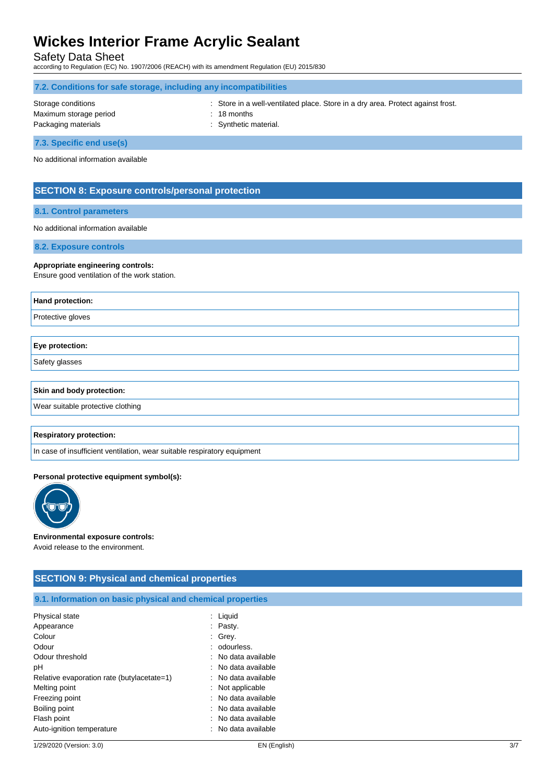Safety Data Sheet

according to Regulation (EC) No. 1907/2006 (REACH) with its amendment Regulation (EU) 2015/830

| 7.2. Conditions for safe storage, including any incompatibilities   |                                                                                                                           |  |  |  |
|---------------------------------------------------------------------|---------------------------------------------------------------------------------------------------------------------------|--|--|--|
| Storage conditions<br>Maximum storage period<br>Packaging materials | : Store in a well-ventilated place. Store in a dry area. Protect against frost.<br>$: 18$ months<br>: Synthetic material. |  |  |  |
| 7.3. Specific end use(s)                                            |                                                                                                                           |  |  |  |

No additional information available

## **SECTION 8: Exposure controls/personal protection**

#### **8.1. Control parameters**

No additional information available

**8.2. Exposure controls**

#### **Appropriate engineering controls:**

Ensure good ventilation of the work station.

| Hand protection:                  |
|-----------------------------------|
| Protective gloves                 |
|                                   |
| Eye protection:                   |
| Safety glasses                    |
|                                   |
| Skin and body protection:         |
| Wear suitable protective clothing |
|                                   |
| <b>Respiratory protection:</b>    |

In case of insufficient ventilation, wear suitable respiratory equipment

### **Personal protective equipment symbol(s):**



#### **Environmental exposure controls:**

Avoid release to the environment.

## **SECTION 9: Physical and chemical properties**

## **9.1. Information on basic physical and chemical properties**

| Physical state                             | Liquid              |
|--------------------------------------------|---------------------|
| Appearance                                 | Pasty.              |
| Colour                                     | Grey.               |
| Odour                                      | : odourless.        |
| Odour threshold                            | : No data available |
| рH                                         | : No data available |
| Relative evaporation rate (butylacetate=1) | : No data available |
| Melting point                              | : Not applicable    |
| Freezing point                             | No data available   |
| Boiling point                              | No data available   |
| Flash point                                | : No data available |
| Auto-ignition temperature                  | : No data available |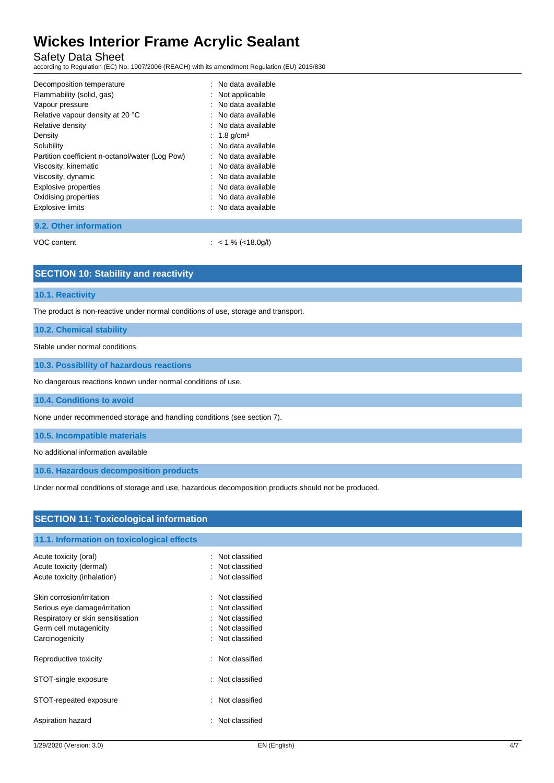Safety Data Sheet

according to Regulation (EC) No. 1907/2006 (REACH) with its amendment Regulation (EU) 2015/830

| Decomposition temperature                       | : No data available       |
|-------------------------------------------------|---------------------------|
| Flammability (solid, gas)                       | Not applicable            |
| Vapour pressure                                 | No data available         |
| Relative vapour density at 20 °C                | : No data available       |
| Relative density                                | : No data available       |
| Density                                         | $: 1.8$ g/cm <sup>3</sup> |
| Solubility                                      | No data available         |
| Partition coefficient n-octanol/water (Log Pow) | : No data available       |
| Viscosity, kinematic                            | : No data available       |
| Viscosity, dynamic                              | : No data available       |
| <b>Explosive properties</b>                     | : No data available       |
| Oxidising properties                            | : No data available       |
| <b>Explosive limits</b>                         | : No data available       |
| -----                                           |                           |
|                                                 |                           |

**9.2. Other information**

VOC content : < 1 % (<18.0g/l)

## **SECTION 10: Stability and reactivity**

#### **10.1. Reactivity**

The product is non-reactive under normal conditions of use, storage and transport.

## **10.2. Chemical stability**

Stable under normal conditions.

**10.3. Possibility of hazardous reactions**

No dangerous reactions known under normal conditions of use.

**10.4. Conditions to avoid**

None under recommended storage and handling conditions (see section 7).

**10.5. Incompatible materials**

No additional information available

**10.6. Hazardous decomposition products**

Under normal conditions of storage and use, hazardous decomposition products should not be produced.

| <b>SECTION 11: Toxicological information</b> |                          |  |  |
|----------------------------------------------|--------------------------|--|--|
| 11.1. Information on toxicological effects   |                          |  |  |
| Acute toxicity (oral)                        | Not classified           |  |  |
| Acute toxicity (dermal)                      | Not classified           |  |  |
| Acute toxicity (inhalation)                  | : Not classified         |  |  |
| Skin corrosion/irritation                    | Not classified<br>$\sim$ |  |  |
| Serious eye damage/irritation                | Not classified<br>÷      |  |  |
| Respiratory or skin sensitisation            | Not classified<br>÷      |  |  |
| Germ cell mutagenicity                       | : Not classified         |  |  |
| Carcinogenicity                              | : Not classified         |  |  |
| Reproductive toxicity                        | Not classified<br>$\sim$ |  |  |
| STOT-single exposure                         | Not classified<br>÷      |  |  |
| STOT-repeated exposure                       | Not classified<br>÷      |  |  |
| Aspiration hazard                            | Not classified<br>۰.     |  |  |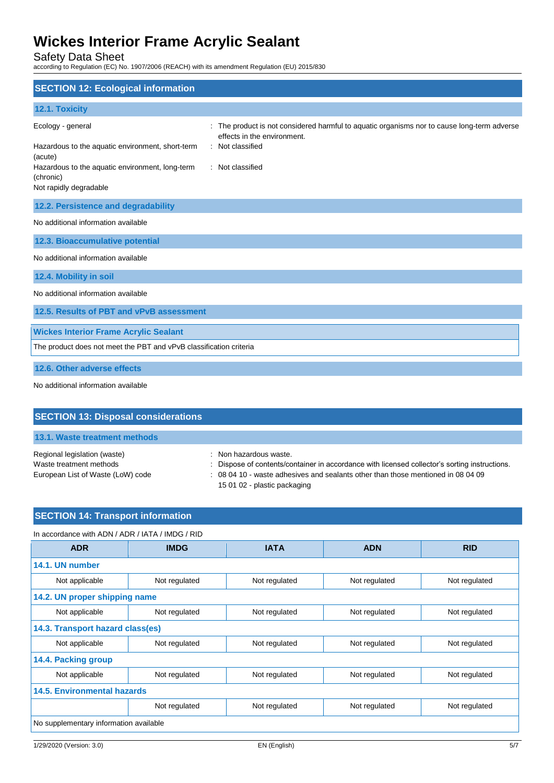Safety Data Sheet

according to Regulation (EC) No. 1907/2006 (REACH) with its amendment Regulation (EU) 2015/830

| <b>SECTION 12: Ecological information</b>                                              |                                                                                                                          |  |  |
|----------------------------------------------------------------------------------------|--------------------------------------------------------------------------------------------------------------------------|--|--|
| 12.1. Toxicity                                                                         |                                                                                                                          |  |  |
| Ecology - general                                                                      | The product is not considered harmful to aquatic organisms nor to cause long-term adverse<br>effects in the environment. |  |  |
| Hazardous to the aquatic environment, short-term<br>(acute)                            | : Not classified                                                                                                         |  |  |
| Hazardous to the aquatic environment, long-term<br>(chronic)<br>Not rapidly degradable | : Not classified                                                                                                         |  |  |
|                                                                                        |                                                                                                                          |  |  |
| 12.2. Persistence and degradability                                                    |                                                                                                                          |  |  |
| No additional information available                                                    |                                                                                                                          |  |  |
| 12.3. Bioaccumulative potential                                                        |                                                                                                                          |  |  |
| No additional information available                                                    |                                                                                                                          |  |  |
| 12.4. Mobility in soil                                                                 |                                                                                                                          |  |  |
| No additional information available                                                    |                                                                                                                          |  |  |
| 12.5. Results of PBT and vPvB assessment                                               |                                                                                                                          |  |  |
| <b>Wickes Interior Frame Acrylic Sealant</b>                                           |                                                                                                                          |  |  |
| The product does not meet the PBT and vPvB classification criteria                     |                                                                                                                          |  |  |
| 12.6. Other adverse effects                                                            |                                                                                                                          |  |  |
| No additional information available                                                    |                                                                                                                          |  |  |

| <b>SECTION 13: Disposal considerations</b>                                                   |                                                                                                                                                                                                                                             |
|----------------------------------------------------------------------------------------------|---------------------------------------------------------------------------------------------------------------------------------------------------------------------------------------------------------------------------------------------|
| 13.1. Waste treatment methods                                                                |                                                                                                                                                                                                                                             |
| Regional legislation (waste)<br>Waste treatment methods<br>European List of Waste (LoW) code | : Non hazardous waste.<br>: Dispose of contents/container in accordance with licensed collector's sorting instructions.<br>: 08 04 10 - waste adhesives and sealants other than those mentioned in 08 04 09<br>15 01 02 - plastic packaging |

## **SECTION 14: Transport information**

| In accordance with ADN / ADR / IATA / IMDG / RID |               |               |               |               |  |
|--------------------------------------------------|---------------|---------------|---------------|---------------|--|
| <b>ADR</b>                                       | <b>IMDG</b>   | <b>IATA</b>   | <b>ADN</b>    | <b>RID</b>    |  |
| 14.1. UN number                                  |               |               |               |               |  |
| Not applicable                                   | Not regulated | Not regulated | Not regulated | Not regulated |  |
| 14.2. UN proper shipping name                    |               |               |               |               |  |
| Not applicable                                   | Not regulated | Not regulated | Not regulated | Not regulated |  |
| 14.3. Transport hazard class(es)                 |               |               |               |               |  |
| Not applicable                                   | Not regulated | Not regulated | Not regulated | Not regulated |  |
| 14.4. Packing group                              |               |               |               |               |  |
| Not applicable                                   | Not regulated | Not regulated | Not regulated | Not regulated |  |
| <b>14.5. Environmental hazards</b>               |               |               |               |               |  |
|                                                  | Not regulated | Not regulated | Not regulated | Not regulated |  |
| No supplementary information available           |               |               |               |               |  |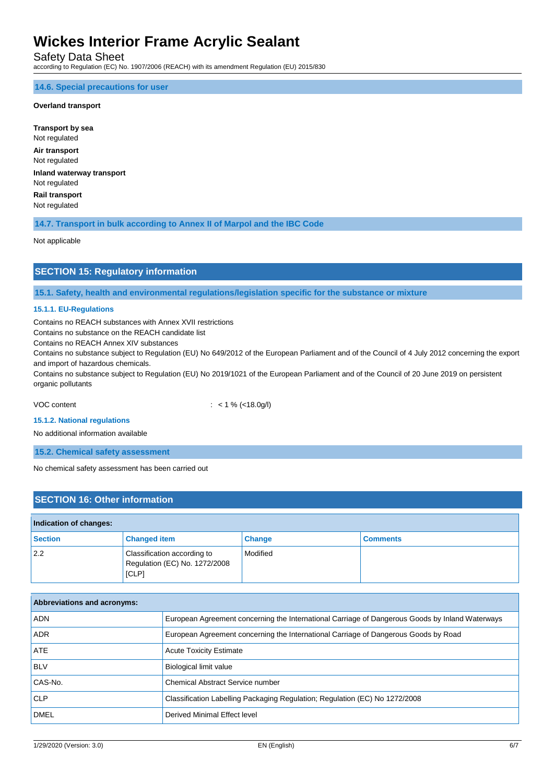Safety Data Sheet

according to Regulation (EC) No. 1907/2006 (REACH) with its amendment Regulation (EU) 2015/830

## **14.6. Special precautions for user**

## **Overland transport**

**Transport by sea** Not regulated **Air transport** Not regulated **Inland waterway transport** Not regulated **Rail transport** Not regulated

**14.7. Transport in bulk according to Annex II of Marpol and the IBC Code**

Not applicable

## **SECTION 15: Regulatory information**

**15.1. Safety, health and environmental regulations/legislation specific for the substance or mixture**

## **15.1.1. EU-Regulations**

Contains no REACH substances with Annex XVII restrictions

Contains no substance on the REACH candidate list

Contains no REACH Annex XIV substances

Contains no substance subject to Regulation (EU) No 649/2012 of the European Parliament and of the Council of 4 July 2012 concerning the export and import of hazardous chemicals.

Contains no substance subject to Regulation (EU) No 2019/1021 of the European Parliament and of the Council of 20 June 2019 on persistent organic pollutants

VOC content : < 1 % (<18.0g/l)

#### **15.1.2. National regulations**

No additional information available

**15.2. Chemical safety assessment**

No chemical safety assessment has been carried out

## **SECTION 16: Other information**

## **Indication of changes: Section Changed item Change Comments** 2.2 Classification according to Regulation (EC) No. 1272/2008 [CLP] Modified

| Abbreviations and acronyms: |                                                                                                 |
|-----------------------------|-------------------------------------------------------------------------------------------------|
| <b>ADN</b>                  | European Agreement concerning the International Carriage of Dangerous Goods by Inland Waterways |
| <b>ADR</b>                  | European Agreement concerning the International Carriage of Dangerous Goods by Road             |
| ATE                         | <b>Acute Toxicity Estimate</b>                                                                  |
| <b>BLV</b>                  | Biological limit value                                                                          |
| CAS-No.                     | Chemical Abstract Service number                                                                |
| CLP                         | Classification Labelling Packaging Regulation; Regulation (EC) No 1272/2008                     |
| <b>DMEL</b>                 | Derived Minimal Effect level                                                                    |